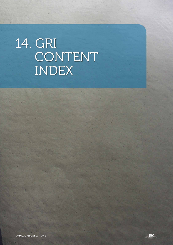# 14. GRI CONTENT INDEX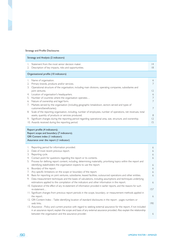#### Strategy and Profile Disclosures

| Strategy and Analysis (2 indicators)   |                                                                                                                |                |
|----------------------------------------|----------------------------------------------------------------------------------------------------------------|----------------|
|                                        | Statement from the most senior decision maker.                                                                 | 4              |
| 2.                                     | Description of key impacts, risks and opportunities.                                                           | 18             |
| Organisational profile (10 indicators) |                                                                                                                |                |
|                                        | Name of organisation.                                                                                          | 6              |
|                                        | Primary brands, products and/or services.                                                                      |                |
| 3.                                     | Operational structure of the organisation, including main divisions, operating companies, subsidiaries and     |                |
|                                        | joint ventures.                                                                                                | $\overline{2}$ |
| 4.                                     | Location of organisation's headquarters.                                                                       | 6              |
| 5.                                     | Number of countries where the organisation operates                                                            |                |
| 6.                                     | Nature of ownership and legal form.                                                                            |                |
|                                        | Markets served by the organisation (including geographic breakdown, sectors served and types of                |                |
|                                        | customers/beneficiaries).                                                                                      |                |
| 8.                                     | Scale of the reporting organisation, including, number of employees, number of operations, net revenues, total |                |
|                                        | assets, quantity of products or services produced.                                                             | 8              |
| 9.                                     | Significant changes during the reporting period regarding operational area, size, structure, and ownership.    | 2              |
|                                        | 10. Awards received during the reporting period.                                                               | 15             |

### Report profile (4 indicators); Report scope and boundary (7 indicators); GRI Content index (1 indicator); Assurance over the report (1 indicator)

190

| Τ. | Reporting period for information provided.                                                                             | 6   |
|----|------------------------------------------------------------------------------------------------------------------------|-----|
| 2. | Date of most recent previous report.                                                                                   | 6   |
| 3. | Reporting cycle.                                                                                                       | 6   |
| 4. | Contact point for questions regarding the report or its contents.                                                      | 6   |
| 5. | Process for defining report content, including, determining materiality, prioritising topics within the report and     |     |
|    | identifying stakeholders the organisation expects to use the report.                                                   | 6   |
| 6. | Boundary of the report.                                                                                                | 6   |
| 7. | Any specific limitations on the scope or boundary of the report.                                                       | 6   |
| 8. | Basis for reporting on joint ventures, subsidiaries, leased facilities, outsourced operations and other entities.      | 6   |
| 9. | Data measurement techniques and the bases of calculations, including assumptions and techniques underlying             |     |
|    | estimations applied to the compilation of the indicators and other information in the report.                          | 6   |
|    | 10. Explanation of the effect of any re-statement of information provided in earlier reports, and the reasons for such |     |
|    | re-statement                                                                                                           | 157 |
|    | 11. Significant changes from previous report periods in the scope, boundary, or measurement methods applied in         |     |
|    | the report.                                                                                                            | 6   |
|    | 12. GRI Content Index - Table identifying location of standard disclosures in the report - pages numbers or            |     |
|    | web links.                                                                                                             | 190 |
|    | 13. Assurance - Policy and current practice with regard to seeking external assurance for the report, if not included  |     |
|    | in an assurance report, explain the scope and basis of any external assurance provided. Also explain the relationship  |     |
|    | between the organisation and the assurance provider.                                                                   | 6   |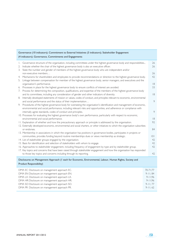# Governance (10 indicators); Commitment to External Initiatives (3 indicators); Stakeholder Engagement (4 indicators); Governance, Commitments and Engagements

| 2. | 1. Governance structure of the organisation, including committees under the highest governance body and responsibilities<br>Indicate whether the chair of the highest governance body is also an executive officer.<br>3. State the number and gender of members of the highest governance body who are independent and/or | 26<br>26     |  |
|----|----------------------------------------------------------------------------------------------------------------------------------------------------------------------------------------------------------------------------------------------------------------------------------------------------------------------------|--------------|--|
|    | non-executive members                                                                                                                                                                                                                                                                                                      | 26           |  |
| 4. | Mechanisms for shareholders and employees to provide recommendations or direction to the highest governance body.                                                                                                                                                                                                          | 42           |  |
|    | 5. Linkage between compensation for member of the highest governance body, senior managers, and executives and the<br>organisation's performance.                                                                                                                                                                          | $\mid 8$     |  |
|    | 6. Processes in place for the highest governance body to ensure conflicts of interest are avoided.                                                                                                                                                                                                                         | 33           |  |
|    | 7. Process for determining the composition, qualifications, and expertise of the members of the highest governance body                                                                                                                                                                                                    |              |  |
|    | and its committees, including any consideration of gender and other indicators of diversity.                                                                                                                                                                                                                               | 8            |  |
| 8. | Internally developed statements of mission or values, codes of conduct, and principles relevant to economic, environmental<br>and social performance and the status of their implementation                                                                                                                                | 9            |  |
| 9. | Procedures of the highest governance body for overseeing the organisation's identification and management of economic,                                                                                                                                                                                                     |              |  |
|    | environmental and social performance, including relevant risks and opportunities, and adherence or compliance with                                                                                                                                                                                                         |              |  |
|    | internally agree standards, codes of conduct and principles.                                                                                                                                                                                                                                                               | $\circ$      |  |
|    | 10. Processes for evaluating the highest governance body's own performance, particularly with respect to economic,                                                                                                                                                                                                         |              |  |
|    | environmental and social performance.                                                                                                                                                                                                                                                                                      | 8            |  |
|    | 11. Explanation of whether and how the precautionary approach or principle is addressed by the organisation.                                                                                                                                                                                                               | 92           |  |
|    | 12. Externally developed economic, environmental and social charters, or other initiatives to which the organisation subscribes<br>or endorses.                                                                                                                                                                            | 84           |  |
|    | 13. Membership in associations in which the organisation has positions in governance bodies, participates in projects or                                                                                                                                                                                                   |              |  |
|    | communities, provides funding beyond routine memberships dues or views membership as strategic.                                                                                                                                                                                                                            | 0            |  |
|    | 14. List of stakeholder groups engaged by the organisation.                                                                                                                                                                                                                                                                | 42           |  |
|    | 15. Basis for identification and selection of stakeholders with whom to engage.                                                                                                                                                                                                                                            | 42           |  |
|    | 16. Approaches to stakeholder engagement, including frequency of engagement by type and by stakeholder group.                                                                                                                                                                                                              | 42           |  |
|    | 17. Key topics and concerns that have been raised through stakeholder engagement and how the organisation has responded                                                                                                                                                                                                    |              |  |
|    | to those key topics and concerns including through its reporting.                                                                                                                                                                                                                                                          | 42           |  |
|    | Disclosures on Management Approach (1 each for Economic, Environmental, Labour, Human Rights, Society and                                                                                                                                                                                                                  |              |  |
|    | <b>Product Responsibility)</b>                                                                                                                                                                                                                                                                                             |              |  |
|    | DMA EC Disclosure on management approach EC.                                                                                                                                                                                                                                                                               | 70-71;77     |  |
|    | DMA EN Disclosure on management approach EN.                                                                                                                                                                                                                                                                               | $9 - 11; 84$ |  |
|    | DMA LA Disclosure on management approach LA.                                                                                                                                                                                                                                                                               | $9 - 11;96$  |  |
|    | $9 - 11;96$<br>DMA HR Disclosure on management approach HR.                                                                                                                                                                                                                                                                |              |  |
|    | $9 - 11; 77$<br>DMA SO Disclosure on management approach SO.                                                                                                                                                                                                                                                               |              |  |

DMA PR Disclosure on management approach PR.

ANNUAL REPORT 2011/2012

191

9-11; 62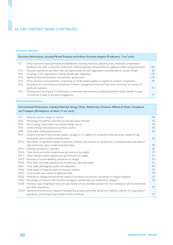# 14. GRI CONTENT INDEX CONTINUED...

#### Economic Indicators

| Economic Performance, including Market Presence and Indirect Economic Aspects (9 indicators, 7 are 'core') |                                                                                                                   |     |
|------------------------------------------------------------------------------------------------------------|-------------------------------------------------------------------------------------------------------------------|-----|
| ECI                                                                                                        | Direct economic value generated and distributed, including revenues, operating costs, employee compensation,      |     |
|                                                                                                            | donations and other community investments, retained earnings, and payments to capital providers and governments.  | 126 |
| EC <sub>2</sub>                                                                                            | Financial implications and other risks and opportunities for the organisation's activities due to climate change. | 64  |
| EC <sub>3</sub>                                                                                            | Coverage of the organisation's defined benefit plan obligations.                                                  | 170 |
| EC <sub>4</sub>                                                                                            | Significant financial assistance received from government.                                                        | 159 |
| EC <sub>5</sub>                                                                                            | Policy, practices, and proportion of spending on locally-based suppliers at significant locations of operation.   | 78  |
| EC6                                                                                                        | Procedures for local hiring and proportion of senior management hired form the local community at locations of    |     |
|                                                                                                            | significant operation.                                                                                            | 97  |
| EC7                                                                                                        | Development and impact of infrastructure investments and services provided primarily for public benefit through   |     |
|                                                                                                            | commercial, in-kind, or pro bono engagement.                                                                      |     |

#### Environmental Indicators

192

# Environmental Performance, including Materials, Energy, Water, Biodiversity, Emissions, Effluent & Waste, Compliance and Transport (30 indicators, of which 17 are 'core')

| ENI              | Materials used by weight or volume.                                                                                      | 90 |
|------------------|--------------------------------------------------------------------------------------------------------------------------|----|
| EN <sub>2</sub>  | Percentage of materials used that are recycled input materials.                                                          | 92 |
| EN <sub>3</sub>  | Direct energy consumption by primary energy source.                                                                      | 90 |
| EN <sub>4</sub>  | Indirect energy consumption by primary source.                                                                           | 90 |
| EN8              | Total water withdrawal by source.                                                                                        | 84 |
| EN11             | Location and size of land owned, leased, managed in, or adjacent to, protected areas and areas outside of high           |    |
|                  | biodiversity value outside protected areas.                                                                              | 85 |
| EN <sub>12</sub> | Description of significant impacts of activities, products, and services on biodiversity in protected areas and areas of |    |
|                  | high biodiversity value outside protected areas.                                                                         | 85 |
| EN <sub>13</sub> | Habitats protected or restored.                                                                                          | 85 |
| EN <sub>16</sub> | Total direct and indirect greenhouse gas emissions by weight.                                                            | 91 |
| EN17             | Other relevant indirect greenhouse gas emissions by weight.                                                              | 91 |
| EN <sub>19</sub> | Emissions of ozone-depleting substances by weight.                                                                       | 91 |
| <b>EN20</b>      | NOx, SOx, and other significant air emissions by type and weight.                                                        | 91 |
| EN <sub>2</sub>  | Total water discharge by quality and destination.                                                                        | 87 |
| <b>EN22</b>      | Total weight of waste by type and disposal method.                                                                       | 92 |
| <b>EN23</b>      | Total number and volume of significant spills.                                                                           | 93 |
| <b>EN26</b>      | Initiatives to mitigate environmental impacts of products and services, and extent of impact mitigation.                 | 93 |
| <b>EN27</b>      | Percentage of products sold and their packaging materials that are reclaimed by category.                                | 92 |
| <b>EN28</b>      | Monetary value of significant fines and total number of non-monetary sanctions for non-compliance with environmental     |    |
|                  | and other regulations.                                                                                                   | 93 |
| <b>EN.29</b>     | Significant environmental impacts of transporting products and other goods and materials used for the organization's     |    |
|                  | operations, and transporting members of the workforce.                                                                   | 93 |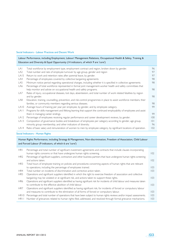#### Social Indicators - Labour Practices and Decent Work

| Labour Performance, including Employment, Labour/ Management Relations, Occupational Health & Safety, Training &<br>Education and Diversity & Equal Opportunity (14 indicators, of which 9 are 'core') |                                                                                                                       |     |
|--------------------------------------------------------------------------------------------------------------------------------------------------------------------------------------------------------|-----------------------------------------------------------------------------------------------------------------------|-----|
| LA I                                                                                                                                                                                                   | Total workforce by employment type, employment contract and region, broken down by gender.                            | 96  |
| LA <sub>2</sub>                                                                                                                                                                                        | Total number and rate of employee turnover by age group, gender and region                                            | 97  |
| LA15                                                                                                                                                                                                   | Return to work and retention rates after parental leave, by gender.                                                   | 97  |
| LA4                                                                                                                                                                                                    | Percentage of employees covered by collective bargaining agreements                                                   | 98  |
| LA5                                                                                                                                                                                                    | Minimum notice period regarding operational changes, including whether it is specified in collective agreements       | 98  |
| LA6                                                                                                                                                                                                    | Percentage of total workforce represented in formal joint management-worker health and safety committees that         |     |
|                                                                                                                                                                                                        | help monitor and advise on occupational health and safety programs.                                                   | 98  |
| LA7                                                                                                                                                                                                    | Rates of injury, occupational diseases, lost days, absenteeism, and total number of work related fatalities by region |     |
|                                                                                                                                                                                                        | and by gender.                                                                                                        | 98  |
| LA8                                                                                                                                                                                                    | Education, training, counselling, prevention, and risk-control programmes in place to assist workforce members, their |     |
|                                                                                                                                                                                                        | families, or community members regarding serious diseases.                                                            | 98  |
| LA <sub>10</sub>                                                                                                                                                                                       | Average hours of training per year per employee, by gender, and by employee category.                                 | 99  |
| <b>LAII</b>                                                                                                                                                                                            | Programs for skills management and lifelong learning that support the continued employability of employees and assist |     |
|                                                                                                                                                                                                        | them in managing career endings.                                                                                      | 99  |
| LA <sub>12</sub>                                                                                                                                                                                       | Percentage of employees receiving regular performance and career development reviews, by gender.                      | 100 |
| LA <sub>13</sub>                                                                                                                                                                                       | Composition of governance bodies and breakdown of employees per category according to gender, age group,              | 0   |
|                                                                                                                                                                                                        | minority group membership, and other indicators of diversity.                                                         | 96  |
| LA 14                                                                                                                                                                                                  | Ratio of basic salary and remuneration of women to men by employee category, by significant locations of operation.   | 102 |

#### Social Indicators - Human Rights

## Human Rights Performance, including Strategy & Management, Non-discrimination, Freedom of Association, Child Labour and Forced Labour (9 indicators, of which 6 are 'core')

| <b>HRI</b>      | Percentage and total number of significant investment agreements and contracts that include clauses incorporating           |     |
|-----------------|-----------------------------------------------------------------------------------------------------------------------------|-----|
|                 | human rights concerns or that have undergone human rights screening.                                                        | 102 |
| HR <sub>2</sub> | Percentage of significant suppliers, contractors and other business partners that have undergone human rights screening     |     |
|                 | and actions taken.                                                                                                          | 102 |
| HR <sub>3</sub> | Total hours of employee training on policies and procedures concerning aspects of human rights that are relevant            |     |
|                 | to operations, including the percentage of employees trained.                                                               | 103 |
| HR4             | Total number on incidents of discrimination and corrective action taken.                                                    | 103 |
| HR5             | Operations and significant suppliers identified in which the right to exercise freedom of association and collective        |     |
|                 | bargaining may be violated or at significant risk, and actions taken to support these rights.                               | 103 |
| HR6             | Operations and significant suppliers identified as having significant risk for incidents of child labour and measures taken |     |
|                 | to contribute to the effective abolition of child labour.                                                                   | 103 |
| HR7             | Operations and significant suppliers identified as having significant risk, for incidents of forced or compulsory labour    |     |
|                 | and measures to contribute to the elimination of all forms of forced or compulsory labour.                                  | 103 |
| HR10            | Percentage and total number of operations that have been subject to human rights reviews and/or impact assessments.         | 103 |
| <b>HRII</b>     | Number of grievances related to human rights filed, addressed, and resolved through formal grievance mechanisms.            | 103 |